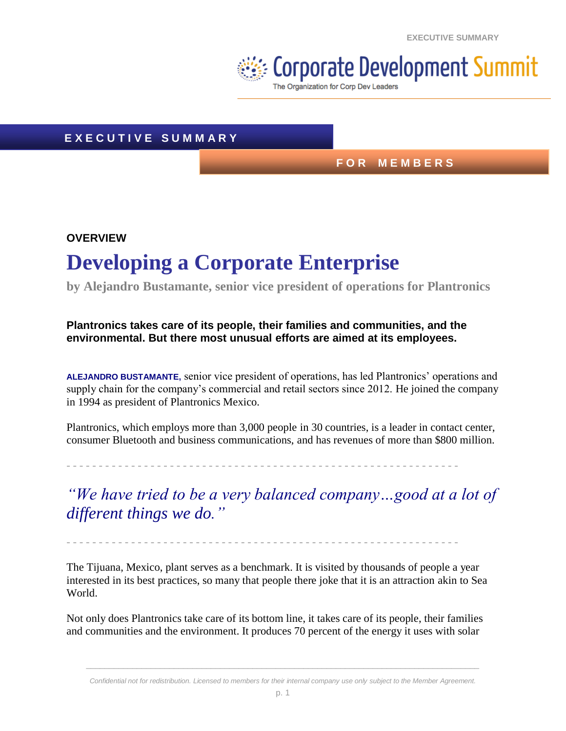**EXECUTIVE SUMMARY**

# $\geqslant$  Corporate Development Summit

The Organization for Corp Dev Leaders

## **E X E C U T I V E S U M M A R Y**

## **F O R M E M B E R S**

## **OVERVIEW Developing a Corporate Enterprise**

**by Alejandro Bustamante, senior vice president of operations for Plantronics**

## **Plantronics takes care of its people, their families and communities, and the environmental. But there most unusual efforts are aimed at its employees.**

**ALEJANDRO BUSTAMANTE,** senior vice president of operations, has led Plantronics' operations and supply chain for the company's commercial and retail sectors since 2012. He joined the company in 1994 as president of Plantronics Mexico.

Plantronics, which employs more than 3,000 people in 30 countries, is a leader in contact center, consumer Bluetooth and business communications, and has revenues of more than \$800 million.

- - - - - - - - - - - - - - - - - - - - - - - - - - - - - - - - - - - - - - - - - - - - - - - - - - - - - - - - - - - - -

*"We have tried to be a very balanced company…good at a lot of different things we do."*

- - - - - - - - - - - - - - - - - - - - - - - - - - - - - - - - - - - - - - - - - - - - - - - - - - - - - - - - - - - - -

The Tijuana, Mexico, plant serves as a benchmark. It is visited by thousands of people a year interested in its best practices, so many that people there joke that it is an attraction akin to Sea World.

Not only does Plantronics take care of its bottom line, it takes care of its people, their families and communities and the environment. It produces 70 percent of the energy it uses with solar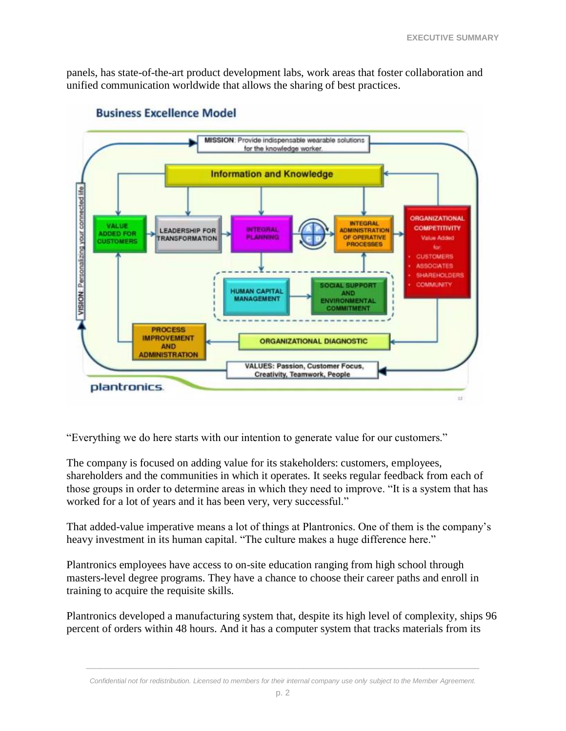panels, has state-of-the-art product development labs, work areas that foster collaboration and unified communication worldwide that allows the sharing of best practices.



#### **Business Excellence Model**

"Everything we do here starts with our intention to generate value for our customers."

The company is focused on adding value for its stakeholders: customers, employees, shareholders and the communities in which it operates. It seeks regular feedback from each of those groups in order to determine areas in which they need to improve. "It is a system that has worked for a lot of years and it has been very, very successful."

That added-value imperative means a lot of things at Plantronics. One of them is the company's heavy investment in its human capital. "The culture makes a huge difference here."

Plantronics employees have access to on-site education ranging from high school through masters-level degree programs. They have a chance to choose their career paths and enroll in training to acquire the requisite skills.

Plantronics developed a manufacturing system that, despite its high level of complexity, ships 96 percent of orders within 48 hours. And it has a computer system that tracks materials from its